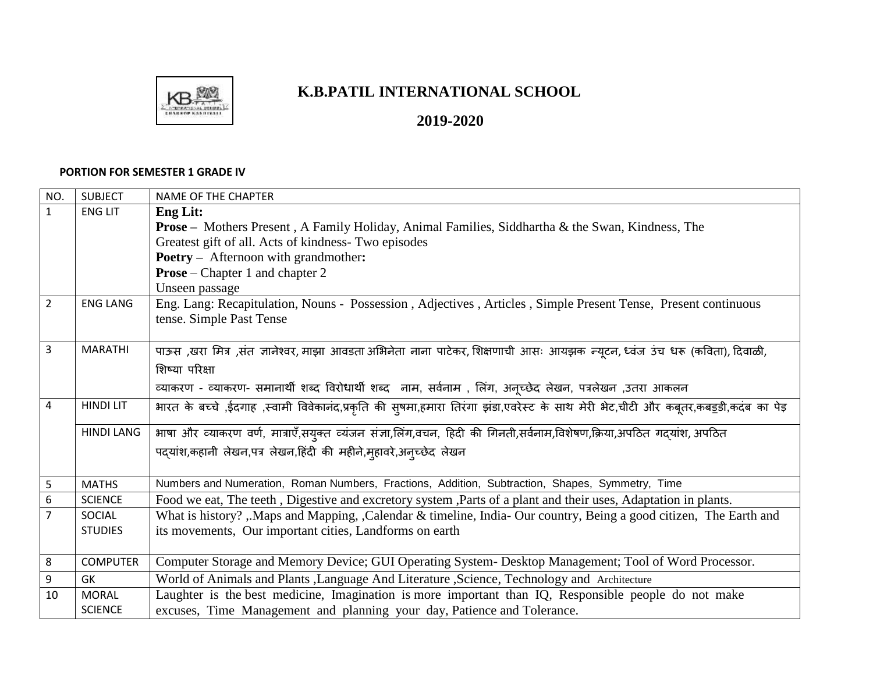

## **K.B.PATIL INTERNATIONAL SCHOOL**

**2019-2020** 

## **PORTION FOR SEMESTER 1 GRADE IV**

| NO.              | <b>SUBJECT</b>    | <b>NAME OF THE CHAPTER</b>                                                                                                          |
|------------------|-------------------|-------------------------------------------------------------------------------------------------------------------------------------|
| $\mathbf{1}$     | <b>ENG LIT</b>    | <b>Eng Lit:</b>                                                                                                                     |
|                  |                   | <b>Prose</b> – Mothers Present, A Family Holiday, Animal Families, Siddhartha & the Swan, Kindness, The                             |
|                  |                   | Greatest gift of all. Acts of kindness- Two episodes                                                                                |
|                  |                   | <b>Poetry</b> – Afternoon with grandmother:                                                                                         |
|                  |                   | <b>Prose</b> – Chapter 1 and chapter 2                                                                                              |
|                  |                   | Unseen passage                                                                                                                      |
| $\overline{2}$   | <b>ENG LANG</b>   | Eng. Lang: Recapitulation, Nouns - Possession, Adjectives, Articles, Simple Present Tense, Present continuous                       |
|                  |                   | tense. Simple Past Tense                                                                                                            |
|                  |                   |                                                                                                                                     |
| $\overline{3}$   | <b>MARATHI</b>    | पाऊस ,खरा मित्र ,संत ज्ञानेश्वर, माझा आवडता अभिनेता नाना पाटेकर, शिक्षणाची आसः आयझक न्यूटन, ध्वंज उंच धरू (कविता), दिवाळी,          |
|                  |                   | शिष्या परिक्षा                                                                                                                      |
|                  |                   | व्याकरण - व्याकरण- समानार्थी शब्द विरोधार्थी शब्द नाम, सर्वनाम , लिंग, अनूच्छेद लेखन, पत्रलेखन ,उतरा आकलन                           |
| 4                | <b>HINDI LIT</b>  | भारत के बच्चे ,ईदगाह ,स्वामी विवेकानंद,प्रकृति की सुषमा,हमारा तिरंगा झंडा,एवरेस्ट के साथ मेरी भेट,चीटी और कबूतर,कबड़डी,कदंब का पेड़ |
|                  | <b>HINDI LANG</b> | भाषा और व्याकरण वर्ण, मात्राएँ,सयुक्त व्यंजन संज्ञा,लिंग,वचन, हिदी की गिनती,सर्वनाम,विशेषण,क्रिया,अपठित गदयांश, अपठित               |
|                  |                   | पदयांश,कहानी लेखन,पत्र लेखन,हिंदी की महीने,मुहावरे,अन्च्छेद लेखन                                                                    |
|                  |                   |                                                                                                                                     |
| 5                | <b>MATHS</b>      | Numbers and Numeration, Roman Numbers, Fractions, Addition, Subtraction, Shapes, Symmetry, Time                                     |
| $\boldsymbol{6}$ | <b>SCIENCE</b>    | Food we eat, The teeth, Digestive and excretory system, Parts of a plant and their uses, Adaptation in plants.                      |
| 7                | SOCIAL            | What is history? , Maps and Mapping, , Calendar & timeline, India- Our country, Being a good citizen, The Earth and                 |
|                  | <b>STUDIES</b>    | its movements, Our important cities, Landforms on earth                                                                             |
|                  |                   |                                                                                                                                     |
| 8                | <b>COMPUTER</b>   | Computer Storage and Memory Device; GUI Operating System- Desktop Management; Tool of Word Processor.                               |
| 9                | GK                | World of Animals and Plants , Language And Literature , Science, Technology and Architecture                                        |
| 10               | <b>MORAL</b>      | Laughter is the best medicine, Imagination is more important than IQ, Responsible people do not make                                |
|                  | <b>SCIENCE</b>    | excuses, Time Management and planning your day, Patience and Tolerance.                                                             |